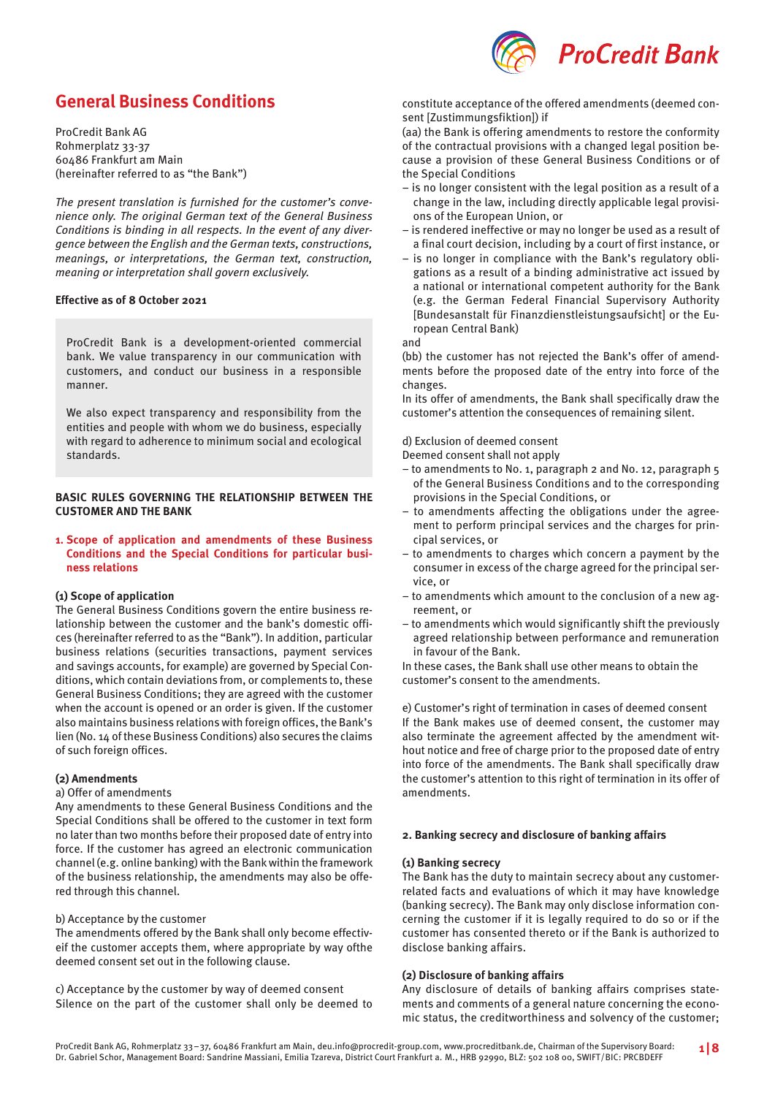

# **General Business Conditions**

ProCredit Bank AG Rohmerplatz 33-37 60486 Frankfurt am Main (hereinafter referred to as "the Bank")

The present translation is furnished for the customer's convenience only. The original German text of the General Business Conditions is binding in all respects. In the event of any divergence between the English and the German texts, constructions, meanings, or interpretations, the German text, construction, meaning or interpretation shall govern exclusively.

# **Effective as of 8 October 2021**

ProCredit Bank is a development-oriented commercial bank. We value transparency in our communication with customers, and conduct our business in a responsible manner.

We also expect transparency and responsibility from the entities and people with whom we do business, especially with regard to adherence to minimum social and ecological standards.

# **BASIC RULES GOVERNING THE RELATIONSHIP BETWEEN THE CUSTOMER AND THE BANK**

**1. Scope of application and amendments of these Business Conditions and the Special Conditions for particular business relations**

### **(1) Scope of application**

The General Business Conditions govern the entire business relationship between the customer and the bank's domestic offices (hereinafter referred to as the "Bank"). In addition, particular business relations (securities transactions, payment services and savings accounts, for example) are governed by Special Conditions, which contain deviations from, or complements to, these General Business Conditions; they are agreed with the customer when the account is opened or an order is given. If the customer also maintains business relations with foreign offices, the Bank's lien (No. 14 of these Business Conditions) also secures the claims of such foreign offices.

### **(2) Amendments**

#### a) Offer of amendments

Any amendments to these General Business Conditions and the Special Conditions shall be offered to the customer in text form no later than two months before their proposed date of entry into force. If the customer has agreed an electronic communication channel (e.g. online banking) with the Bank within the framework of the business relationship, the amendments may also be offered through this channel.

### b) Acceptance by the customer

The amendments offered by the Bank shall only become effectiveif the customer accepts them, where appropriate by way ofthe deemed consent set out in the following clause.

c) Acceptance by the customer by way of deemed consent Silence on the part of the customer shall only be deemed to constitute acceptance of the offered amendments (deemed consent [Zustimmungsfiktion]) if

(aa) the Bank is offering amendments to restore the conformity of the contractual provisions with a changed legal position because a provision of these General Business Conditions or of the Special Conditions

- is no longer consistent with the legal position as a result of a change in the law, including directly applicable legal provisions of the European Union, or
- is rendered ineffective or may no longer be used as a result of a final court decision, including by a court of first instance, or
- is no longer in compliance with the Bank's regulatory obligations as a result of a binding administrative act issued by a national or international competent authority for the Bank (e.g. the German Federal Financial Supervisory Authority [Bundesanstalt für Finanzdienstleistungsaufsicht] or the European Central Bank)

and

(bb) the customer has not rejected the Bank's offer of amendments before the proposed date of the entry into force of the changes.

In its offer of amendments, the Bank shall specifically draw the customer's attention the consequences of remaining silent.

d) Exclusion of deemed consent

Deemed consent shall not apply

- to amendments to No. 1, paragraph 2 and No. 12, paragraph 5 of the General Business Conditions and to the corresponding provisions in the Special Conditions, or
- to amendments affecting the obligations under the agreement to perform principal services and the charges for principal services, or
- to amendments to charges which concern a payment by the consumer in excess of the charge agreed for the principal service, or
- to amendments which amount to the conclusion of a new agreement, or
- to amendments which would significantly shift the previously agreed relationship between performance and remuneration in favour of the Bank.

In these cases, the Bank shall use other means to obtain the customer's consent to the amendments.

e) Customer's right of termination in cases of deemed consent If the Bank makes use of deemed consent, the customer may also terminate the agreement affected by the amendment without notice and free of charge prior to the proposed date of entry into force of the amendments. The Bank shall specifically draw the customer's attention to this right of termination in its offer of amendments.

### **2. Banking secrecy and disclosure of banking affairs**

# **(1) Banking secrecy**

The Bank has the duty to maintain secrecy about any customerrelated facts and evaluations of which it may have knowledge (banking secrecy). The Bank may only disclose information concerning the customer if it is legally required to do so or if the customer has consented thereto or if the Bank is authorized to disclose banking affairs.

### **(2) Disclosure of banking affairs**

Any disclosure of details of banking affairs comprises statements and comments of a general nature concerning the economic status, the creditworthiness and solvency of the customer;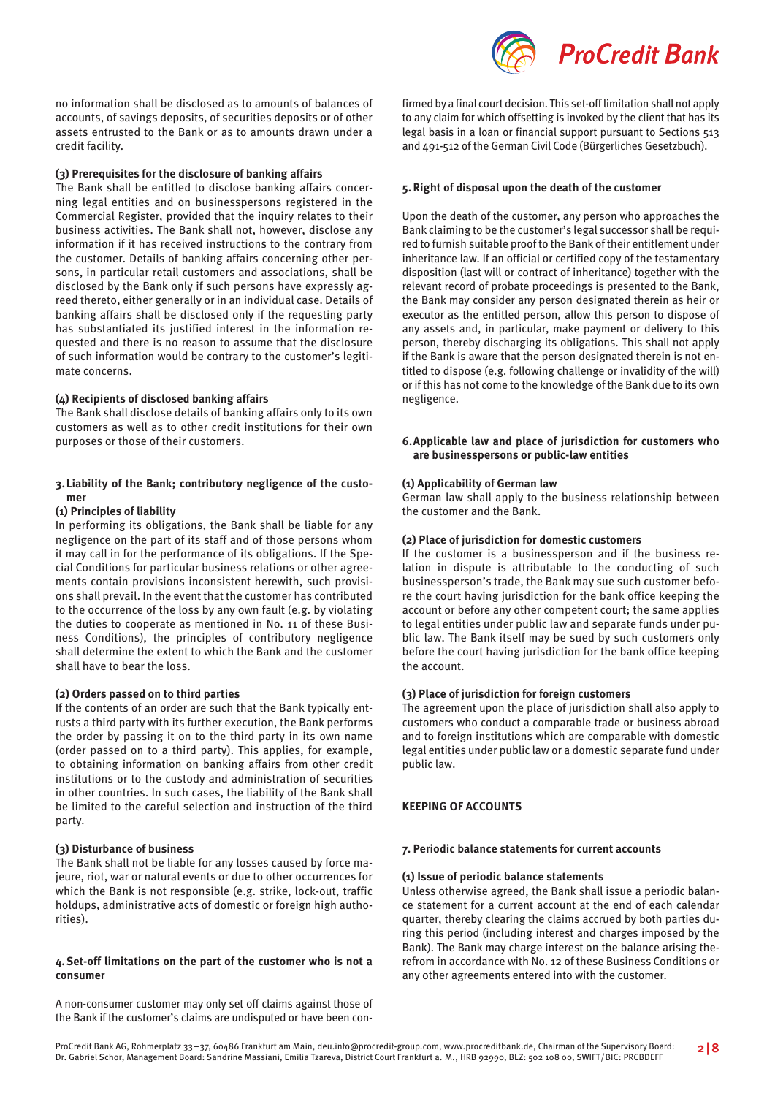

### **(3) Prerequisites for the disclosure of banking affairs**

The Bank shall be entitled to disclose banking affairs concerning legal entities and on businesspersons registered in the Commercial Register, provided that the inquiry relates to their business activities. The Bank shall not, however, disclose any information if it has received instructions to the contrary from the customer. Details of banking affairs concerning other persons, in particular retail customers and associations, shall be disclosed by the Bank only if such persons have expressly agreed thereto, either generally or in an individual case. Details of banking affairs shall be disclosed only if the requesting party has substantiated its justified interest in the information requested and there is no reason to assume that the disclosure of such information would be contrary to the customer's legitimate concerns.

### **(4) Recipients of disclosed banking affairs**

The Bank shall disclose details of banking affairs only to its own customers as well as to other credit institutions for their own purposes or those of their customers.

# **3.Liability of the Bank; contributory negligence of the customer**

# **(1) Principles of liability**

In performing its obligations, the Bank shall be liable for any negligence on the part of its staff and of those persons whom it may call in for the performance of its obligations. If the Special Conditions for particular business relations or other agreements contain provisions inconsistent herewith, such provisions shall prevail. In the event that the customer has contributed to the occurrence of the loss by any own fault (e.g. by violating the duties to cooperate as mentioned in No. 11 of these Business Conditions), the principles of contributory negligence shall determine the extent to which the Bank and the customer shall have to bear the loss.

### **(2) Orders passed on to third parties**

If the contents of an order are such that the Bank typically entrusts a third party with its further execution, the Bank performs the order by passing it on to the third party in its own name (order passed on to a third party). This applies, for example, to obtaining information on banking affairs from other credit institutions or to the custody and administration of securities in other countries. In such cases, the liability of the Bank shall be limited to the careful selection and instruction of the third party.

### **(3) Disturbance of business**

The Bank shall not be liable for any losses caused by force majeure, riot, war or natural events or due to other occurrences for which the Bank is not responsible (e.g. strike, lock-out, traffic holdups, administrative acts of domestic or foreign high authorities).

# **4.Set-off limitations on the part of the customer who is not a consumer**

A non-consumer customer may only set off claims against those of the Bank if the customer's claims are undisputed or have been con-



firmed by a final court decision. This set-off limitation shall not apply to any claim for which offsetting is invoked by the client that has its legal basis in a loan or financial support pursuant to Sections 513 and 491-512 of the German Civil Code (Bürgerliches Gesetzbuch).

### **5.Right of disposal upon the death of the customer**

Upon the death of the customer, any person who approaches the Bank claiming to be the customer's legal successor shall be required to furnish suitable proof to the Bank of their entitlement under inheritance law. If an official or certified copy of the testamentary disposition (last will or contract of inheritance) together with the relevant record of probate proceedings is presented to the Bank, the Bank may consider any person designated therein as heir or executor as the entitled person, allow this person to dispose of any assets and, in particular, make payment or delivery to this person, thereby discharging its obligations. This shall not apply if the Bank is aware that the person designated therein is not entitled to dispose (e.g. following challenge or invalidity of the will) or if this has not come to the knowledge of the Bank due to its own negligence.

# **6.Applicable law and place of jurisdiction for customers who are businesspersons or public-law entities**

### **(1) Applicability of German law**

German law shall apply to the business relationship between the customer and the Bank.

# **(2) Place of jurisdiction for domestic customers**

If the customer is a businessperson and if the business relation in dispute is attributable to the conducting of such businessperson's trade, the Bank may sue such customer before the court having jurisdiction for the bank office keeping the account or before any other competent court; the same applies to legal entities under public law and separate funds under public law. The Bank itself may be sued by such customers only before the court having jurisdiction for the bank office keeping the account.

# **(3) Place of jurisdiction for foreign customers**

The agreement upon the place of jurisdiction shall also apply to customers who conduct a comparable trade or business abroad and to foreign institutions which are comparable with domestic legal entities under public law or a domestic separate fund under public law.

### **KEEPING OF ACCOUNTS**

### **7. Periodic balance statements for current accounts**

# **(1) Issue of periodic balance statements**

Unless otherwise agreed, the Bank shall issue a periodic balance statement for a current account at the end of each calendar quarter, thereby clearing the claims accrued by both parties during this period (including interest and charges imposed by the Bank). The Bank may charge interest on the balance arising therefrom in accordance with No. 12 of these Business Conditions or any other agreements entered into with the customer.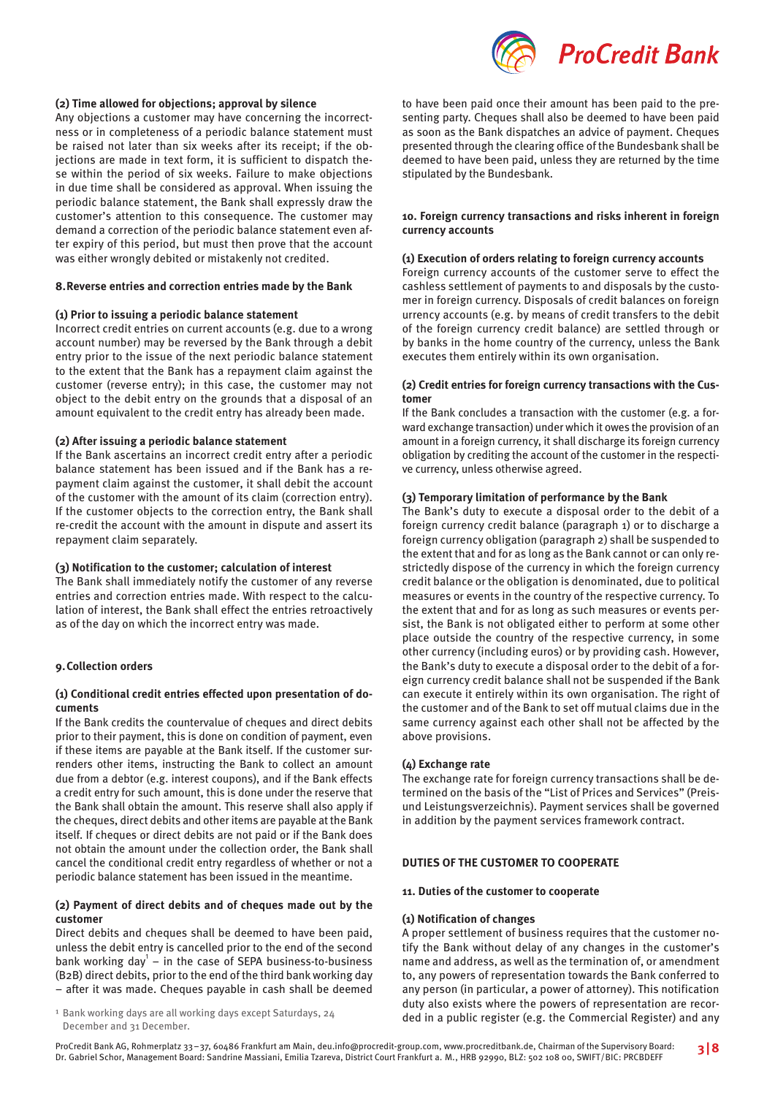

# **(2) Time allowed for objections; approval by silence**

Any objections a customer may have concerning the incorrectness or in completeness of a periodic balance statement must be raised not later than six weeks after its receipt; if the objections are made in text form, it is sufficient to dispatch these within the period of six weeks. Failure to make objections in due time shall be considered as approval. When issuing the periodic balance statement, the Bank shall expressly draw the customer's attention to this consequence. The customer may demand a correction of the periodic balance statement even after expiry of this period, but must then prove that the account was either wrongly debited or mistakenly not credited.

#### **8.Reverse entries and correction entries made by the Bank**

### **(1) Prior to issuing a periodic balance statement**

Incorrect credit entries on current accounts (e.g. due to a wrong account number) may be reversed by the Bank through a debit entry prior to the issue of the next periodic balance statement to the extent that the Bank has a repayment claim against the customer (reverse entry); in this case, the customer may not object to the debit entry on the grounds that a disposal of an amount equivalent to the credit entry has already been made.

#### **(2) After issuing a periodic balance statement**

If the Bank ascertains an incorrect credit entry after a periodic balance statement has been issued and if the Bank has a repayment claim against the customer, it shall debit the account of the customer with the amount of its claim (correction entry). If the customer objects to the correction entry, the Bank shall re-credit the account with the amount in dispute and assert its repayment claim separately.

#### **(3) Notification to the customer; calculation of interest**

The Bank shall immediately notify the customer of any reverse entries and correction entries made. With respect to the calculation of interest, the Bank shall effect the entries retroactively as of the day on which the incorrect entry was made.

# **9.Collection orders**

### **(1) Conditional credit entries effected upon presentation of documents**

If the Bank credits the countervalue of cheques and direct debits prior to their payment, this is done on condition of payment, even if these items are payable at the Bank itself. If the customer surrenders other items, instructing the Bank to collect an amount due from a debtor (e.g. interest coupons), and if the Bank effects a credit entry for such amount, this is done under the reserve that the Bank shall obtain the amount. This reserve shall also apply if the cheques, direct debits and other items are payable at the Bank itself. If cheques or direct debits are not paid or if the Bank does not obtain the amount under the collection order, the Bank shall cancel the conditional credit entry regardless of whether or not a periodic balance statement has been issued in the meantime.

# **(2) Payment of direct debits and of cheques made out by the customer**

Direct debits and cheques shall be deemed to have been paid, unless the debit entry is cancelled prior to the end of the second bank working day $<sup>1</sup>$  – in the case of SEPA business-to-business</sup> (B2B) direct debits, prior to the end of the third bank working day – after it was made. Cheques payable in cash shall be deemed

<sup>1</sup> Bank working days are all working days except Saturdays, 24 December and 31 December.

to have been paid once their amount has been paid to the presenting party. Cheques shall also be deemed to have been paid as soon as the Bank dispatches an advice of payment. Cheques presented through the clearing office of the Bundesbank shall be deemed to have been paid, unless they are returned by the time stipulated by the Bundesbank.

### **10. Foreign currency transactions and risks inherent in foreign currency accounts**

#### **(1) Execution of orders relating to foreign currency accounts**

Foreign currency accounts of the customer serve to effect the cashless settlement of payments to and disposals by the customer in foreign currency. Disposals of credit balances on foreign urrency accounts (e.g. by means of credit transfers to the debit of the foreign currency credit balance) are settled through or by banks in the home country of the currency, unless the Bank executes them entirely within its own organisation.

### **(2) Credit entries for foreign currency transactions with the Customer**

If the Bank concludes a transaction with the customer (e.g. a forward exchange transaction) under which it owes the provision of an amount in a foreign currency, it shall discharge its foreign currency obligation by crediting the account of the customer in the respective currency, unless otherwise agreed.

### **(3) Temporary limitation of performance by the Bank**

The Bank's duty to execute a disposal order to the debit of a foreign currency credit balance (paragraph 1) or to discharge a foreign currency obligation (paragraph 2) shall be suspended to the extent that and for as long as the Bank cannot or can only restrictedly dispose of the currency in which the foreign currency credit balance or the obligation is denominated, due to political measures or events in the country of the respective currency. To the extent that and for as long as such measures or events persist, the Bank is not obligated either to perform at some other place outside the country of the respective currency, in some other currency (including euros) or by providing cash. However, the Bank's duty to execute a disposal order to the debit of a foreign currency credit balance shall not be suspended if the Bank can execute it entirely within its own organisation. The right of the customer and of the Bank to set off mutual claims due in the same currency against each other shall not be affected by the above provisions.

### **(4) Exchange rate**

The exchange rate for foreign currency transactions shall be determined on the basis of the "List of Prices and Services" (Preisund Leistungsverzeichnis). Payment services shall be governed in addition by the payment services framework contract.

# **DUTIES OF THE CUSTOMER TO COOPERATE**

# **11. Duties of the customer to cooperate**

#### **(1) Notification of changes**

A proper settlement of business requires that the customer notify the Bank without delay of any changes in the customer's name and address, as well as the termination of, or amendment to, any powers of representation towards the Bank conferred to any person (in particular, a power of attorney). This notification duty also exists where the powers of representation are recorded in a public register (e.g. the Commercial Register) and any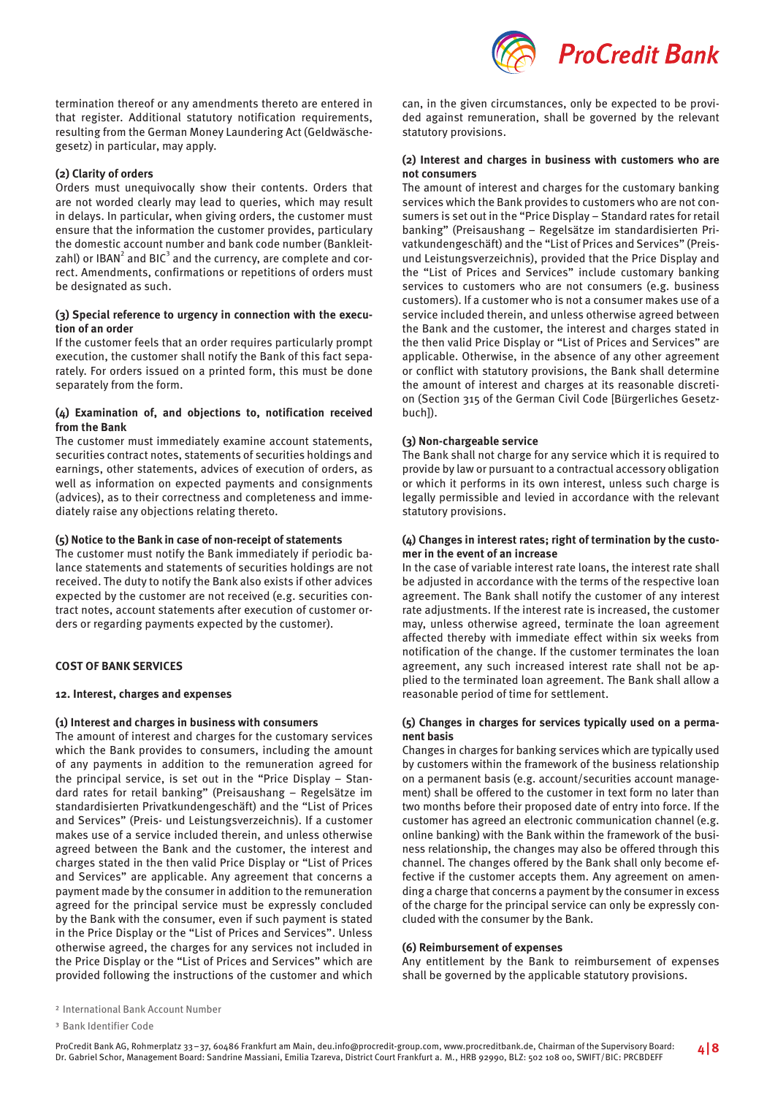

termination thereof or any amendments thereto are entered in that register. Additional statutory notification requirements, resulting from the German Money Laundering Act (Geldwäschegesetz) in particular, may apply.

# **(2) Clarity of orders**

Orders must unequivocally show their contents. Orders that are not worded clearly may lead to queries, which may result in delays. In particular, when giving orders, the customer must ensure that the information the customer provides, particulary the domestic account number and bank code number (Bankleitzahl) or IBAN $^{\rm 2}$  and BIC $^{\rm 3}$  and the currency, are complete and correct. Amendments, confirmations or repetitions of orders must be designated as such.

# **(3) Special reference to urgency in connection with the execution of an order**

If the customer feels that an order requires particularly prompt execution, the customer shall notify the Bank of this fact separately. For orders issued on a printed form, this must be done separately from the form.

# **(4) Examination of, and objections to, notification received from the Bank**

The customer must immediately examine account statements, securities contract notes, statements of securities holdings and earnings, other statements, advices of execution of orders, as well as information on expected payments and consignments (advices), as to their correctness and completeness and immediately raise any objections relating thereto.

# **(5) Notice to the Bank in case of non-receipt of statements**

The customer must notify the Bank immediately if periodic balance statements and statements of securities holdings are not received. The duty to notify the Bank also exists if other advices expected by the customer are not received (e.g. securities contract notes, account statements after execution of customer orders or regarding payments expected by the customer).

# **COST OF BANK SERVICES**

# **12. Interest, charges and expenses**

### **(1) Interest and charges in business with consumers**

The amount of interest and charges for the customary services which the Bank provides to consumers, including the amount of any payments in addition to the remuneration agreed for the principal service, is set out in the "Price Display – Standard rates for retail banking" (Preisaushang – Regelsätze im standardisierten Privatkundengeschäft) and the "List of Prices and Services" (Preis- und Leistungsverzeichnis). If a customer makes use of a service included therein, and unless otherwise agreed between the Bank and the customer, the interest and charges stated in the then valid Price Display or "List of Prices and Services" are applicable. Any agreement that concerns a payment made by the consumer in addition to the remuneration agreed for the principal service must be expressly concluded by the Bank with the consumer, even if such payment is stated in the Price Display or the "List of Prices and Services". Unless otherwise agreed, the charges for any services not included in the Price Display or the "List of Prices and Services" which are provided following the instructions of the customer and which can, in the given circumstances, only be expected to be provided against remuneration, shall be governed by the relevant statutory provisions.

# **(2) Interest and charges in business with customers who are not consumers**

The amount of interest and charges for the customary banking services which the Bank provides to customers who are not consumers is set out in the "Price Display – Standard rates for retail banking" (Preisaushang – Regelsätze im standardisierten Privatkundengeschäft) and the "List of Prices and Services" (Preisund Leistungsverzeichnis), provided that the Price Display and the "List of Prices and Services" include customary banking services to customers who are not consumers (e.g. business customers). If a customer who is not a consumer makes use of a service included therein, and unless otherwise agreed between the Bank and the customer, the interest and charges stated in the then valid Price Display or "List of Prices and Services" are applicable. Otherwise, in the absence of any other agreement or conflict with statutory provisions, the Bank shall determine the amount of interest and charges at its reasonable discretion (Section 315 of the German Civil Code [Bürgerliches Gesetzbuch]).

### **(3) Non-chargeable service**

The Bank shall not charge for any service which it is required to provide by law or pursuant to a contractual accessory obligation or which it performs in its own interest, unless such charge is legally permissible and levied in accordance with the relevant statutory provisions.

### **(4) Changes in interest rates; right of termination by the customer in the event of an increase**

In the case of variable interest rate loans, the interest rate shall be adjusted in accordance with the terms of the respective loan agreement. The Bank shall notify the customer of any interest rate adjustments. If the interest rate is increased, the customer may, unless otherwise agreed, terminate the loan agreement affected thereby with immediate effect within six weeks from notification of the change. If the customer terminates the loan agreement, any such increased interest rate shall not be applied to the terminated loan agreement. The Bank shall allow a reasonable period of time for settlement.

# **(5) Changes in charges for services typically used on a permanent basis**

Changes in charges for banking services which are typically used by customers within the framework of the business relationship on a permanent basis (e.g. account/securities account management) shall be offered to the customer in text form no later than two months before their proposed date of entry into force. If the customer has agreed an electronic communication channel (e.g. online banking) with the Bank within the framework of the business relationship, the changes may also be offered through this channel. The changes offered by the Bank shall only become effective if the customer accepts them. Any agreement on amending a charge that concerns a payment by the consumer in excess of the charge for the principal service can only be expressly concluded with the consumer by the Bank.

# **(6) Reimbursement of expenses**

Any entitlement by the Bank to reimbursement of expenses shall be governed by the applicable statutory provisions.

<sup>3</sup> Bank Identifier Code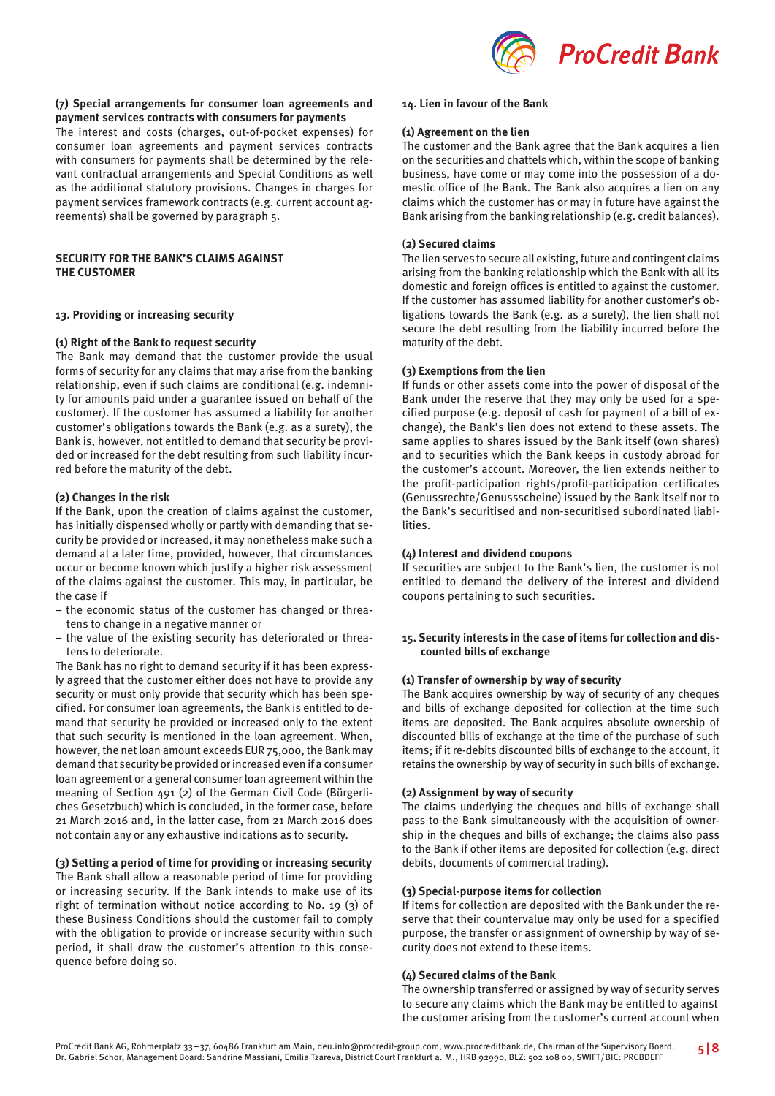

# **(7) Special arrangements for consumer loan agreements and payment services contracts with consumers for payments**

The interest and costs (charges, out-of-pocket expenses) for consumer loan agreements and payment services contracts with consumers for payments shall be determined by the relevant contractual arrangements and Special Conditions as well as the additional statutory provisions. Changes in charges for payment services framework contracts (e.g. current account agreements) shall be governed by paragraph 5.

# **SECURITY FOR THE BANK'S CLAIMS AGAINST THE CUSTOMER**

# **13. Providing or increasing security**

### **(1) Right of the Bank to request security**

The Bank may demand that the customer provide the usual forms of security for any claims that may arise from the banking relationship, even if such claims are conditional (e.g. indemnity for amounts paid under a guarantee issued on behalf of the customer). If the customer has assumed a liability for another customer's obligations towards the Bank (e.g. as a surety), the Bank is, however, not entitled to demand that security be provided or increased for the debt resulting from such liability incurred before the maturity of the debt.

### **(2) Changes in the risk**

If the Bank, upon the creation of claims against the customer, has initially dispensed wholly or partly with demanding that security be provided or increased, it may nonetheless make such a demand at a later time, provided, however, that circumstances occur or become known which justify a higher risk assessment of the claims against the customer. This may, in particular, be the case if

- the economic status of the customer has changed or threatens to change in a negative manner or
- the value of the existing security has deteriorated or threatens to deteriorate.

The Bank has no right to demand security if it has been expressly agreed that the customer either does not have to provide any security or must only provide that security which has been specified. For consumer loan agreements, the Bank is entitled to demand that security be provided or increased only to the extent that such security is mentioned in the loan agreement. When, however, the net loan amount exceeds EUR 75,000, the Bank may demand that security be provided or increased even if a consumer loan agreement or a general consumer loan agreement within the meaning of Section 491 (2) of the German Civil Code (Bürgerliches Gesetzbuch) which is concluded, in the former case, before 21 March 2016 and, in the latter case, from 21 March 2016 does not contain any or any exhaustive indications as to security.

# **(3) Setting a period of time for providing or increasing security**

The Bank shall allow a reasonable period of time for providing or increasing security. If the Bank intends to make use of its right of termination without notice according to No. 19 (3) of these Business Conditions should the customer fail to comply with the obligation to provide or increase security within such period, it shall draw the customer's attention to this consequence before doing so.

#### **14. Lien in favour of the Bank**

#### **(1) Agreement on the lien**

The customer and the Bank agree that the Bank acquires a lien on the securities and chattels which, within the scope of banking business, have come or may come into the possession of a domestic office of the Bank. The Bank also acquires a lien on any claims which the customer has or may in future have against the Bank arising from the banking relationship (e.g. credit balances).

### (**2) Secured claims**

The lien serves to secure all existing, future and contingent claims arising from the banking relationship which the Bank with all its domestic and foreign offices is entitled to against the customer. If the customer has assumed liability for another customer's obligations towards the Bank (e.g. as a surety), the lien shall not secure the debt resulting from the liability incurred before the maturity of the debt.

### **(3) Exemptions from the lien**

If funds or other assets come into the power of disposal of the Bank under the reserve that they may only be used for a specified purpose (e.g. deposit of cash for payment of a bill of exchange), the Bank's lien does not extend to these assets. The same applies to shares issued by the Bank itself (own shares) and to securities which the Bank keeps in custody abroad for the customer's account. Moreover, the lien extends neither to the profit-participation rights/profit-participation certificates (Genussrechte/Genussscheine) issued by the Bank itself nor to the Bank's securitised and non-securitised subordinated liabilities.

#### **(4) Interest and dividend coupons**

If securities are subject to the Bank's lien, the customer is not entitled to demand the delivery of the interest and dividend coupons pertaining to such securities.

# **15. Security interests in the case of items for collection and discounted bills of exchange**

# **(1) Transfer of ownership by way of security**

The Bank acquires ownership by way of security of any cheques and bills of exchange deposited for collection at the time such items are deposited. The Bank acquires absolute ownership of discounted bills of exchange at the time of the purchase of such items; if it re-debits discounted bills of exchange to the account, it retains the ownership by way of security in such bills of exchange.

### **(2) Assignment by way of security**

The claims underlying the cheques and bills of exchange shall pass to the Bank simultaneously with the acquisition of ownership in the cheques and bills of exchange; the claims also pass to the Bank if other items are deposited for collection (e.g. direct debits, documents of commercial trading).

### **(3) Special-purpose items for collection**

If items for collection are deposited with the Bank under the reserve that their countervalue may only be used for a specified purpose, the transfer or assignment of ownership by way of security does not extend to these items.

# **(4) Secured claims of the Bank**

The ownership transferred or assigned by way of security serves to secure any claims which the Bank may be entitled to against the customer arising from the customer's current account when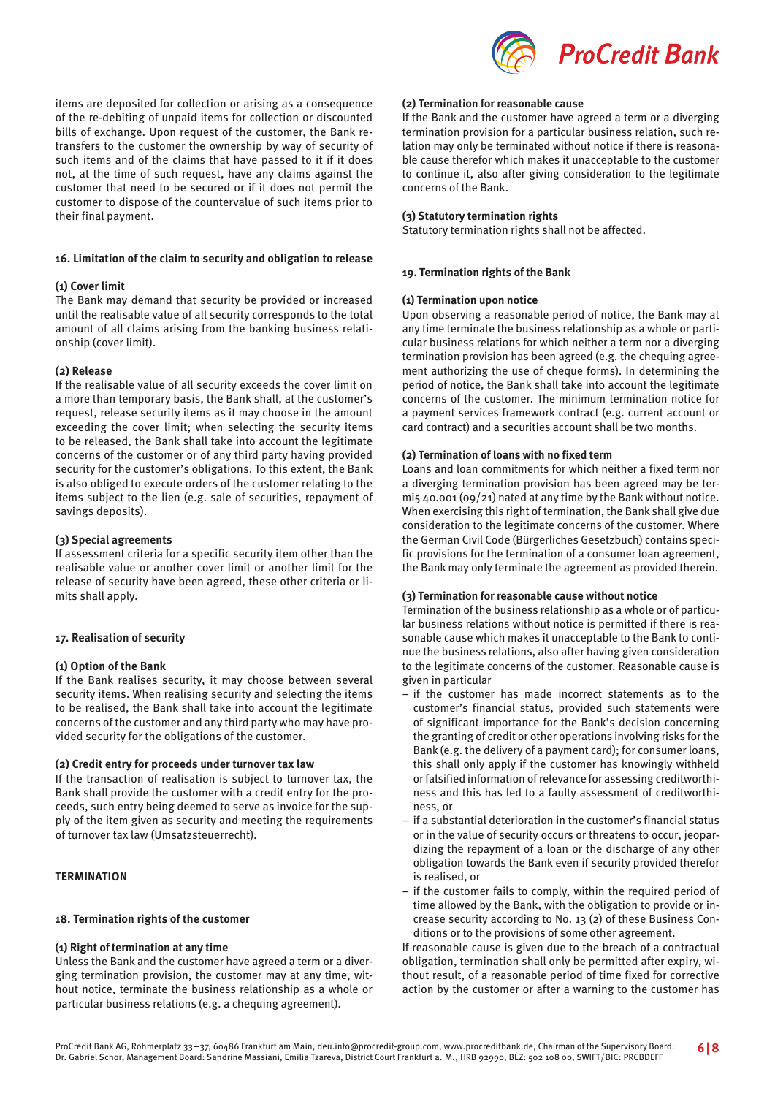

items are deposited for collection or arising as a consequence of the re-debiting of unpaid items for collection or discounted bills of exchange. Upon request of the customer, the Bank retransfers to the customer the ownership by way of security of such items and of the claims that have passed to it if it does not, at the time of such request, have any claims against the customer that need to be secured or if it does not permit the customer to dispose of the countervalue of such items prior to their final payment.

### **16. Limitation of the claim to security and obligation to release**

### **(1) Cover limit**

The Bank may demand that security be provided or increased until the realisable value of all security corresponds to the total amount of all claims arising from the banking business relationship (cover limit).

### **(2) Release**

If the realisable value of all security exceeds the cover limit on a more than temporary basis, the Bank shall, at the customer's request, release security items as it may choose in the amount exceeding the cover limit; when selecting the security items to be released, the Bank shall take into account the legitimate concerns of the customer or of any third party having provided security for the customer's obligations. To this extent, the Bank is also obliged to execute orders of the customer relating to the items subject to the lien (e.g. sale of securities, repayment of savings deposits).

### **(3) Special agreements**

If assessment criteria for a specific security item other than the realisable value or another cover limit or another limit for the release of security have been agreed, these other criteria or limits shall apply.

### **17. Realisation of security**

# **(1) Option of the Bank**

If the Bank realises security, it may choose between several security items. When realising security and selecting the items to be realised, the Bank shall take into account the legitimate concerns of the customer and any third party who may have provided security for the obligations of the customer.

### **(2) Credit entry for proceeds under turnover tax law**

If the transaction of realisation is subject to turnover tax, the Bank shall provide the customer with a credit entry for the proceeds, such entry being deemed to serve as invoice for the supply of the item given as security and meeting the requirements of turnover tax law (Umsatzsteuerrecht).

# **TERMINATION**

# **18. Termination rights of the customer**

### **(1) Right of termination at any time**

Unless the Bank and the customer have agreed a term or a diverging termination provision, the customer may at any time, without notice, terminate the business relationship as a whole or particular business relations (e.g. a chequing agreement).

#### **(2) Termination for reasonable cause**

If the Bank and the customer have agreed a term or a diverging termination provision for a particular business relation, such relation may only be terminated without notice if there is reasonable cause therefor which makes it unacceptable to the customer to continue it, also after giving consideration to the legitimate concerns of the Bank.

### **(3) Statutory termination rights**

Statutory termination rights shall not be affected.

### **19. Termination rights of the Bank**

### **(1) Termination upon notice**

Upon observing a reasonable period of notice, the Bank may at any time terminate the business relationship as a whole or particular business relations for which neither a term nor a diverging termination provision has been agreed (e.g. the chequing agreement authorizing the use of cheque forms). In determining the period of notice, the Bank shall take into account the legitimate concerns of the customer. The minimum termination notice for a payment services framework contract (e.g. current account or card contract) and a securities account shall be two months.

### **(2) Termination of loans with no fixed term**

Loans and loan commitments for which neither a fixed term nor a diverging termination provision has been agreed may be ter $m$ i<sub>5</sub> 40.001 (09/21) nated at any time by the Bank without notice. When exercising this right of termination, the Bank shall give due consideration to the legitimate concerns of the customer. Where the German Civil Code (Bürgerliches Gesetzbuch) contains specific provisions for the termination of a consumer loan agreement, the Bank may only terminate the agreement as provided therein.

# **(3) Termination for reasonable cause without notice**

Termination of the business relationship as a whole or of particular business relations without notice is permitted if there is reasonable cause which makes it unacceptable to the Bank to continue the business relations, also after having given consideration to the legitimate concerns of the customer. Reasonable cause is given in particular

- if the customer has made incorrect statements as to the customer's financial status, provided such statements were of significant importance for the Bank's decision concerning the granting of credit or other operations involving risks for the Bank (e.g. the delivery of a payment card); for consumer loans, this shall only apply if the customer has knowingly withheld or falsified information of relevance for assessing creditworthiness and this has led to a faulty assessment of creditworthiness, or
- if a substantial deterioration in the customer's financial status or in the value of security occurs or threatens to occur, jeopardizing the repayment of a loan or the discharge of any other obligation towards the Bank even if security provided therefor is realised, or
- if the customer fails to comply, within the required period of time allowed by the Bank, with the obligation to provide or increase security according to No. 13 (2) of these Business Conditions or to the provisions of some other agreement.

If reasonable cause is given due to the breach of a contractual obligation, termination shall only be permitted after expiry, without result, of a reasonable period of time fixed for corrective action by the customer or after a warning to the customer has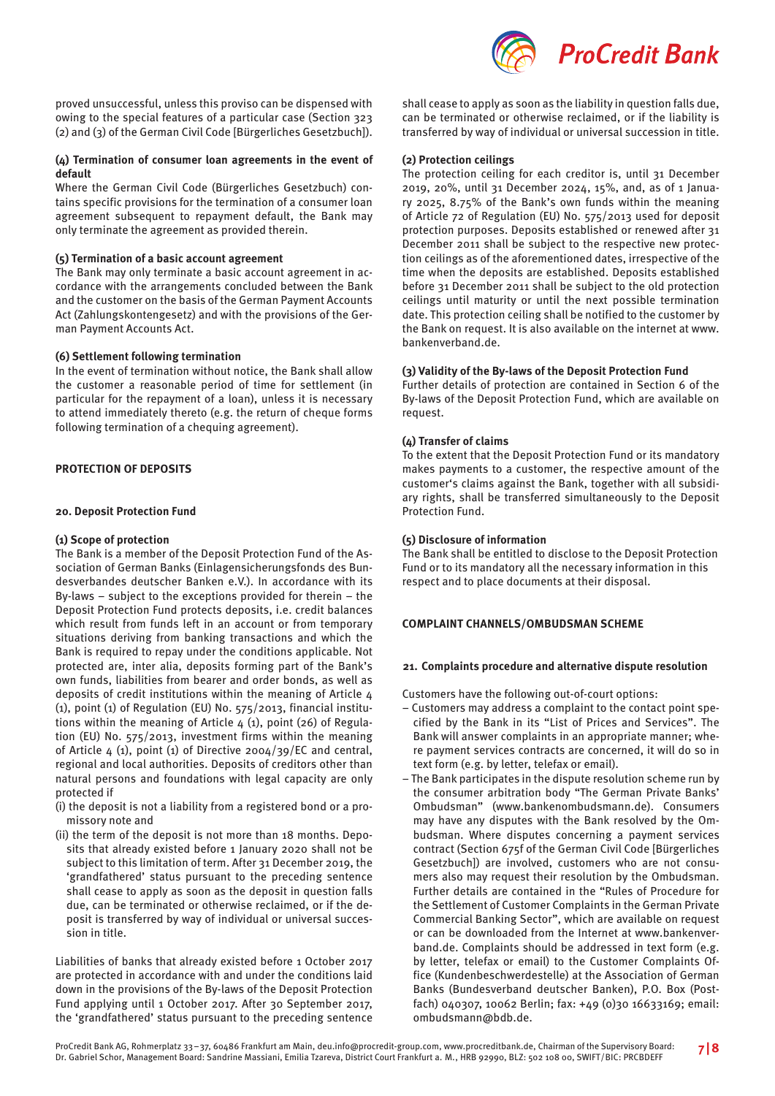

# **(4) Termination of consumer loan agreements in the event of default**

Where the German Civil Code (Bürgerliches Gesetzbuch) contains specific provisions for the termination of a consumer loan agreement subsequent to repayment default, the Bank may only terminate the agreement as provided therein.

# **(5) Termination of a basic account agreement**

The Bank may only terminate a basic account agreement in accordance with the arrangements concluded between the Bank and the customer on the basis of the German Payment Accounts Act (Zahlungskontengesetz) and with the provisions of the German Payment Accounts Act.

# **(6) Settlement following termination**

In the event of termination without notice, the Bank shall allow the customer a reasonable period of time for settlement (in particular for the repayment of a loan), unless it is necessary to attend immediately thereto (e.g. the return of cheque forms following termination of a chequing agreement).

# **PROTECTION OF DEPOSITS**

# **20. Deposit Protection Fund**

# **(1) Scope of protection**

The Bank is a member of the Deposit Protection Fund of the Association of German Banks (Einlagensicherungsfonds des Bundesverbandes deutscher Banken e.V.). In accordance with its By-laws – subject to the exceptions provided for therein – the Deposit Protection Fund protects deposits, i.e. credit balances which result from funds left in an account or from temporary situations deriving from banking transactions and which the Bank is required to repay under the conditions applicable. Not protected are, inter alia, deposits forming part of the Bank's own funds, liabilities from bearer and order bonds, as well as deposits of credit institutions within the meaning of Article 4 (1), point (1) of Regulation (EU) No. 575/2013, financial institutions within the meaning of Article  $4(1)$ , point (26) of Regulation (EU) No. 575/2013, investment firms within the meaning of Article  $4$  (1), point (1) of Directive 2004/39/EC and central, regional and local authorities. Deposits of creditors other than natural persons and foundations with legal capacity are only protected if

- (i) the deposit is not a liability from a registered bond or a promissory note and
- (ii) the term of the deposit is not more than 18 months. Deposits that already existed before 1 January 2020 shall not be subject to this limitation of term. After 31 December 2019, the 'grandfathered' status pursuant to the preceding sentence shall cease to apply as soon as the deposit in question falls due, can be terminated or otherwise reclaimed, or if the deposit is transferred by way of individual or universal succession in title.

Liabilities of banks that already existed before 1 October 2017 are protected in accordance with and under the conditions laid down in the provisions of the By-laws of the Deposit Protection Fund applying until 1 October 2017. After 30 September 2017, the 'grandfathered' status pursuant to the preceding sentence



shall cease to apply as soon as the liability in question falls due, can be terminated or otherwise reclaimed, or if the liability is transferred by way of individual or universal succession in title.

# **(2) Protection ceilings**

The protection ceiling for each creditor is, until 31 December 2019, 20%, until 31 December 2024, 15%, and, as of 1 January 2025, 8.75% of the Bank's own funds within the meaning of Article 72 of Regulation (EU) No. 575/2013 used for deposit protection purposes. Deposits established or renewed after 31 December 2011 shall be subject to the respective new protection ceilings as of the aforementioned dates, irrespective of the time when the deposits are established. Deposits established before 31 December 2011 shall be subject to the old protection ceilings until maturity or until the next possible termination date. This protection ceiling shall be notified to the customer by the Bank on request. It is also available on the internet at www. bankenverband.de.

# **(3) Validity of the By-laws of the Deposit Protection Fund**

Further details of protection are contained in Section 6 of the By-laws of the Deposit Protection Fund, which are available on request.

# **(4) Transfer of claims**

To the extent that the Deposit Protection Fund or its mandatory makes payments to a customer, the respective amount of the customer's claims against the Bank, together with all subsidiary rights, shall be transferred simultaneously to the Deposit Protection Fund.

# **(5) Disclosure of information**

The Bank shall be entitled to disclose to the Deposit Protection Fund or to its mandatory all the necessary information in this respect and to place documents at their disposal.

# **COMPLAINT CHANNELS/OMBUDSMAN SCHEME**

# **21. Complaints procedure and alternative dispute resolution**

Customers have the following out-of-court options:

- Customers may address a complaint to the contact point specified by the Bank in its "List of Prices and Services". The Bank will answer complaints in an appropriate manner; where payment services contracts are concerned, it will do so in text form (e.g. by letter, telefax or email).
- The Bank participates in the dispute resolution scheme run by the consumer arbitration body "The German Private Banks' Ombudsman" (www.bankenombudsmann.de). Consumers may have any disputes with the Bank resolved by the Ombudsman. Where disputes concerning a payment services contract (Section 675f of the German Civil Code [Bürgerliches Gesetzbuch]) are involved, customers who are not consumers also may request their resolution by the Ombudsman. Further details are contained in the "Rules of Procedure for the Settlement of Customer Complaints in the German Private Commercial Banking Sector", which are available on request or can be downloaded from the Internet at www.bankenverband.de. Complaints should be addressed in text form (e.g. by letter, telefax or email) to the Customer Complaints Office (Kundenbeschwerdestelle) at the Association of German Banks (Bundesverband deutscher Banken), P.O. Box (Postfach) 040307, 10062 Berlin; fax: +49 (0)30 16633169; email: ombudsmann@bdb.de.